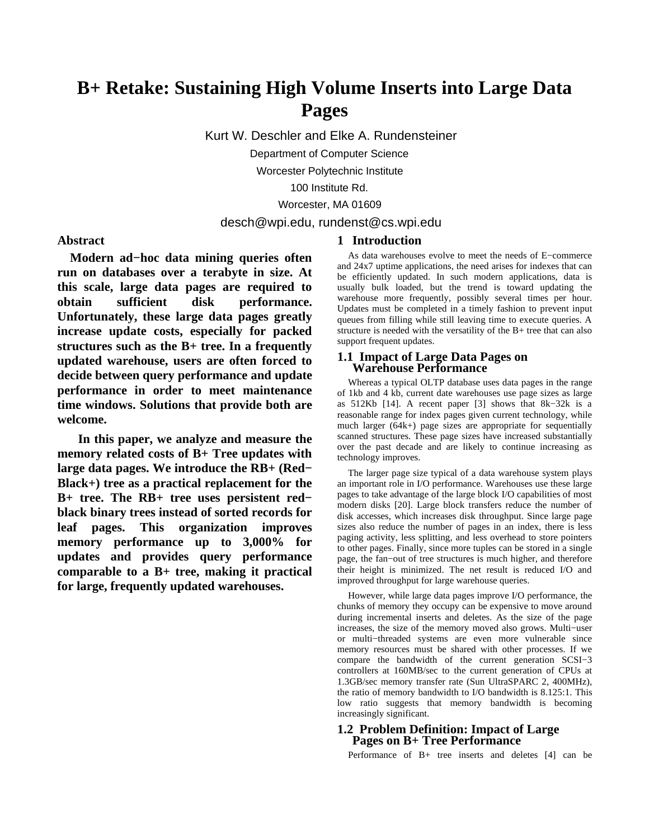# **B+ Retake: Sustaining High Volume Inserts into Large Data Pages**

Kurt W. Deschler and Elke A. Rundensteiner

Department of Computer Science

Worcester Polytechnic Institute

100 Institute Rd.

Worcester, MA 01609

## desch@wpi.edu, rundenst@cs.wpi.edu

**1 Introduction**

## **Abstract**

**Modern ad−hoc data mining queries often run on databases over a terabyte in size. At this scale, large data pages are required to obtain sufficient disk performance. Unfortunately, these large data pages greatly increase update costs, especially for packed structures such as the B+ tree. In a frequently updated warehouse, users are often forced to decide between query performance and update performance in order to meet maintenance time windows. Solutions that provide both are welcome.**

**In this paper, we analyze and measure the memory related costs of B+ Tree updates with large data pages. We introduce the RB+ (Red− Black+) tree as a practical replacement for the B+ tree. The RB+ tree uses persistent red− black binary trees instead of sorted records for leaf pages. This organization improves memory performance up to 3,000% for updates and provides query performance comparable to a B+ tree, making it practical for large, frequently updated warehouses.**

As data warehouses evolve to meet the needs of E−commerce and 24x7 uptime applications, the need arises for indexes that can be efficiently updated. In such modern applications, data is usually bulk loaded, but the trend is toward updating the warehouse more frequently, possibly several times per hour. Updates must be completed in a timely fashion to prevent input queues from filling while still leaving time to execute queries. A structure is needed with the versatility of the B+ tree that can also support frequent updates.

#### **1.1 Impact of Large Data Pages on Warehouse Performance**

Whereas a typical OLTP database uses data pages in the range of 1kb and 4 kb, current date warehouses use page sizes as large as 512Kb [14]. A recent paper [3] shows that 8k−32k is a reasonable range for index pages given current technology, while much larger (64k+) page sizes are appropriate for sequentially scanned structures. These page sizes have increased substantially over the past decade and are likely to continue increasing as technology improves.

The larger page size typical of a data warehouse system plays an important role in I/O performance. Warehouses use these large pages to take advantage of the large block I/O capabilities of most modern disks [20]. Large block transfers reduce the number of disk accesses, which increases disk throughput. Since large page sizes also reduce the number of pages in an index, there is less paging activity, less splitting, and less overhead to store pointers to other pages. Finally, since more tuples can be stored in a single page, the fan−out of tree structures is much higher, and therefore their height is minimized. The net result is reduced I/O and improved throughput for large warehouse queries.

However, while large data pages improve I/O performance, the chunks of memory they occupy can be expensive to move around during incremental inserts and deletes. As the size of the page increases, the size of the memory moved also grows. Multi−user or multi−threaded systems are even more vulnerable since memory resources must be shared with other processes. If we compare the bandwidth of the current generation SCSI−3 controllers at 160MB/sec to the current generation of CPUs at 1.3GB/sec memory transfer rate (Sun UltraSPARC 2, 400MHz), the ratio of memory bandwidth to I/O bandwidth is 8.125:1. This low ratio suggests that memory bandwidth is becoming increasingly significant.

## **1.2 Problem Definition: Impact of Large Pages on B+ Tree Performance**

Performance of B+ tree inserts and deletes [4] can be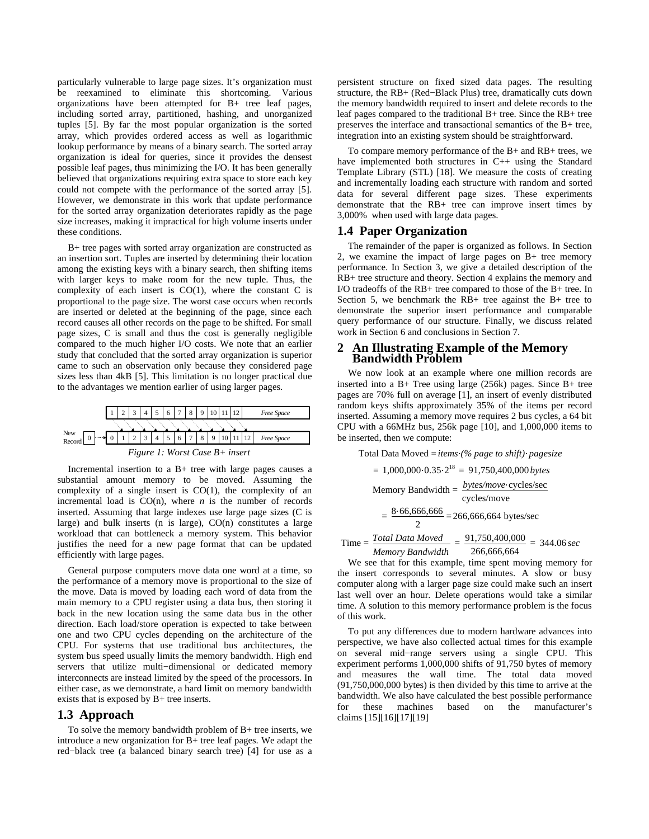particularly vulnerable to large page sizes. It's organization must be reexamined to eliminate this shortcoming. Various organizations have been attempted for B+ tree leaf pages, including sorted array, partitioned, hashing, and unorganized tuples [5]. By far the most popular organization is the sorted array, which provides ordered access as well as logarithmic lookup performance by means of a binary search. The sorted array organization is ideal for queries, since it provides the densest possible leaf pages, thus minimizing the I/O. It has been generally believed that organizations requiring extra space to store each key could not compete with the performance of the sorted array [5]. However, we demonstrate in this work that update performance for the sorted array organization deteriorates rapidly as the page size increases, making it impractical for high volume inserts under these conditions.

B+ tree pages with sorted array organization are constructed as an insertion sort. Tuples are inserted by determining their location among the existing keys with a binary search, then shifting items with larger keys to make room for the new tuple. Thus, the complexity of each insert is  $CO(1)$ , where the constant C is proportional to the page size. The worst case occurs when records are inserted or deleted at the beginning of the page, since each record causes all other records on the page to be shifted. For small page sizes, C is small and thus the cost is generally negligible compared to the much higher I/O costs. We note that an earlier study that concluded that the sorted array organization is superior came to such an observation only because they considered page sizes less than 4kB [5]. This limitation is no longer practical due to the advantages we mention earlier of using larger pages.



Incremental insertion to a B+ tree with large pages causes a substantial amount memory to be moved. Assuming the complexity of a single insert is CO(1), the complexity of an incremental load is  $CO(n)$ , where *n* is the number of records inserted. Assuming that large indexes use large page sizes (C is large) and bulk inserts (n is large), CO(n) constitutes a large workload that can bottleneck a memory system. This behavior justifies the need for a new page format that can be updated efficiently with large pages.

General purpose computers move data one word at a time, so the performance of a memory move is proportional to the size of the move. Data is moved by loading each word of data from the main memory to a CPU register using a data bus, then storing it back in the new location using the same data bus in the other direction. Each load/store operation is expected to take between one and two CPU cycles depending on the architecture of the CPU. For systems that use traditional bus architectures, the system bus speed usually limits the memory bandwidth. High end servers that utilize multi−dimensional or dedicated memory interconnects are instead limited by the speed of the processors. In either case, as we demonstrate, a hard limit on memory bandwidth exists that is exposed by B+ tree inserts.

## **1.3 Approach**

To solve the memory bandwidth problem of B+ tree inserts, we introduce a new organization for B+ tree leaf pages. We adapt the red−black tree (a balanced binary search tree) [4] for use as a persistent structure on fixed sized data pages. The resulting structure, the RB+ (Red−Black Plus) tree, dramatically cuts down the memory bandwidth required to insert and delete records to the leaf pages compared to the traditional B+ tree. Since the RB+ tree preserves the interface and transactional semantics of the B+ tree, integration into an existing system should be straightforward.

To compare memory performance of the B+ and RB+ trees, we have implemented both structures in C++ using the Standard Template Library (STL) [18]. We measure the costs of creating and incrementally loading each structure with random and sorted data for several different page sizes. These experiments demonstrate that the RB+ tree can improve insert times by 3,000% when used with large data pages.

#### **1.4 Paper Organization**

The remainder of the paper is organized as follows. In Section 2, we examine the impact of large pages on B+ tree memory performance. In Section 3, we give a detailed description of the RB+ tree structure and theory. Section 4 explains the memory and I/O tradeoffs of the RB+ tree compared to those of the B+ tree. In Section 5, we benchmark the  $RB+$  tree against the  $B+$  tree to demonstrate the superior insert performance and comparable query performance of our structure. Finally, we discuss related work in Section 6 and conclusions in Section 7.

#### **2 An Illustrating Example of the Memory Bandwidth Problem**

We now look at an example where one million records are inserted into a B+ Tree using large (256k) pages. Since B+ tree pages are 70% full on average [1], an insert of evenly distributed random keys shifts approximately 35% of the items per record inserted. Assuming a memory move requires 2 bus cycles, a 64 bit CPU with a 66MHz bus, 256k page [10], and 1,000,000 items to be inserted, then we compute:

Total Data Moved = *items (% page to shift) pagesize*  $= 1,000,000$   $0.35$   $2^{18} = 91,750,400,000$  bytes Memory Bandwidth = *bytes/move* cycles/sec cycles/move  $=\frac{8.66,666,666}{8}$  $\frac{200,000}{2} = 266,666,664 \text{ bytes/sec}$ Time = *Total Data Moved Memory Bandwidth*  $=\frac{91,750,400,000}{9}$  $\frac{1,750,400,000}{266,666,664}$  = 344.06 sec

We see that for this example, time spent moving memory for the insert corresponds to several minutes. A slow or busy computer along with a larger page size could make such an insert last well over an hour. Delete operations would take a similar time. A solution to this memory performance problem is the focus of this work.

To put any differences due to modern hardware advances into perspective, we have also collected actual times for this example on several mid−range servers using a single CPU. This experiment performs 1,000,000 shifts of 91,750 bytes of memory and measures the wall time. The total data moved (91,750,000,000 bytes) is then divided by this time to arrive at the bandwidth. We also have calculated the best possible performance<br>for these machines based on the manufacturer's for these machines based on the manufacturer's claims [15][16][17][19]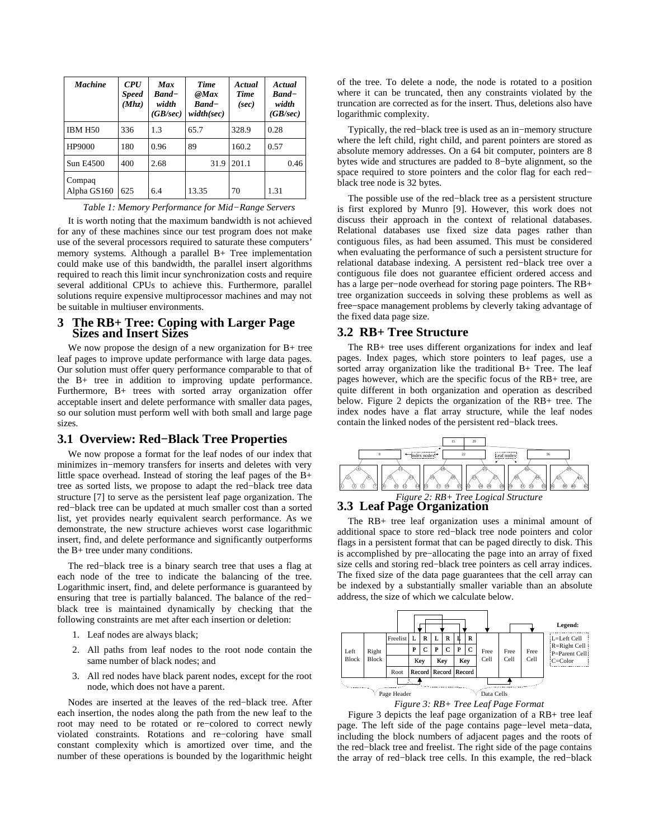| <b>Machine</b>        | <b>CPU</b><br><b>Speed</b><br>(Mhz) | <b>Max</b><br><b>Band</b> -<br>width<br>(GB/sec) | <b>Time</b><br>@Max<br>$Rand-$<br>width(sec) | Actual<br><b>Time</b><br>(sec) | Actual<br><b>Band</b> –<br>width<br>(GB/sec) |
|-----------------------|-------------------------------------|--------------------------------------------------|----------------------------------------------|--------------------------------|----------------------------------------------|
| <b>IBM H50</b>        | 336                                 | 1.3                                              | 65.7                                         | 328.9                          | 0.28                                         |
| HP9000                | 180                                 | 0.96                                             | 89                                           | 160.2                          | 0.57                                         |
| Sun E4500             | 400                                 | 2.68                                             | 31.9                                         | 201.1                          | 0.46                                         |
| Compaq<br>Alpha GS160 | 625                                 | 6.4                                              | 13.35                                        | 70                             | 1.31                                         |

*Table 1: Memory Performance for Mid−Range Servers*

It is worth noting that the maximum bandwidth is not achieved for any of these machines since our test program does not make use of the several processors required to saturate these computers' memory systems. Although a parallel B+ Tree implementation could make use of this bandwidth, the parallel insert algorithms required to reach this limit incur synchronization costs and require several additional CPUs to achieve this. Furthermore, parallel solutions require expensive multiprocessor machines and may not be suitable in multiuser environments.

## **3 The RB+ Tree: Coping with Larger Page Sizes and Insert Sizes**

We now propose the design of a new organization for B+ tree leaf pages to improve update performance with large data pages. Our solution must offer query performance comparable to that of the B+ tree in addition to improving update performance. Furthermore, B+ trees with sorted array organization offer acceptable insert and delete performance with smaller data pages, so our solution must perform well with both small and large page sizes.

## **3.1 Overview: Red−Black Tree Properties**

We now propose a format for the leaf nodes of our index that minimizes in−memory transfers for inserts and deletes with very little space overhead. Instead of storing the leaf pages of the B+ tree as sorted lists, we propose to adapt the red−black tree data structure [7] to serve as the persistent leaf page organization. The red−black tree can be updated at much smaller cost than a sorted list, yet provides nearly equivalent search performance. As we demonstrate, the new structure achieves worst case logarithmic insert, find, and delete performance and significantly outperforms the B+ tree under many conditions.

The red−black tree is a binary search tree that uses a flag at each node of the tree to indicate the balancing of the tree. Logarithmic insert, find, and delete performance is guaranteed by ensuring that tree is partially balanced. The balance of the red− black tree is maintained dynamically by checking that the following constraints are met after each insertion or deletion:

- 1. Leaf nodes are always black;
- 2. All paths from leaf nodes to the root node contain the same number of black nodes; and
- 3. All red nodes have black parent nodes, except for the root node, which does not have a parent.

Nodes are inserted at the leaves of the red−black tree. After each insertion, the nodes along the path from the new leaf to the root may need to be rotated or re−colored to correct newly violated constraints. Rotations and re−coloring have small constant complexity which is amortized over time, and the number of these operations is bounded by the logarithmic height of the tree. To delete a node, the node is rotated to a position where it can be truncated, then any constraints violated by the truncation are corrected as for the insert. Thus, deletions also have logarithmic complexity.

Typically, the red−black tree is used as an in−memory structure where the left child, right child, and parent pointers are stored as absolute memory addresses. On a 64 bit computer, pointers are 8 bytes wide and structures are padded to 8−byte alignment, so the space required to store pointers and the color flag for each red− black tree node is 32 bytes.

The possible use of the red−black tree as a persistent structure is first explored by Munro [9]. However, this work does not discuss their approach in the context of relational databases. Relational databases use fixed size data pages rather than contiguous files, as had been assumed. This must be considered when evaluating the performance of such a persistent structure for relational database indexing. A persistent red−black tree over a contiguous file does not guarantee efficient ordered access and has a large per−node overhead for storing page pointers. The RB+ tree organization succeeds in solving these problems as well as free−space management problems by cleverly taking advantage of the fixed data page size.

## **3.2 RB+ Tree Structure**

The RB+ tree uses different organizations for index and leaf pages. Index pages, which store pointers to leaf pages, use a sorted array organization like the traditional B+ Tree. The leaf pages however, which are the specific focus of the RB+ tree, are quite different in both organization and operation as described below. Figure 2 depicts the organization of the RB+ tree. The index nodes have a flat array structure, while the leaf nodes contain the linked nodes of the persistent red−black trees.



## **3.3 Leaf Page Organization**

The RB+ tree leaf organization uses a minimal amount of additional space to store red−black tree node pointers and color flags in a persistent format that can be paged directly to disk. This is accomplished by pre−allocating the page into an array of fixed size cells and storing red−black tree pointers as cell array indices. The fixed size of the data page guarantees that the cell array can be indexed by a substantially smaller variable than an absolute address, the size of which we calculate below.



Figure 3 depicts the leaf page organization of a RB+ tree leaf page. The left side of the page contains page−level meta−data, including the block numbers of adjacent pages and the roots of the red−black tree and freelist. The right side of the page contains the array of red−black tree cells. In this example, the red−black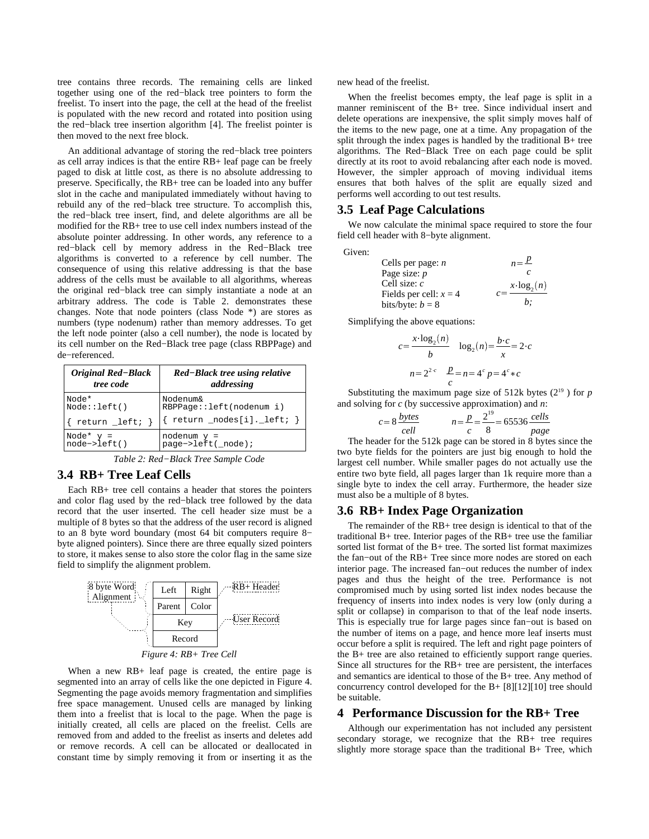tree contains three records. The remaining cells are linked together using one of the red−black tree pointers to form the freelist. To insert into the page, the cell at the head of the freelist is populated with the new record and rotated into position using the red−black tree insertion algorithm [4]. The freelist pointer is then moved to the next free block.

An additional advantage of storing the red−black tree pointers as cell array indices is that the entire RB+ leaf page can be freely paged to disk at little cost, as there is no absolute addressing to preserve. Specifically, the RB+ tree can be loaded into any buffer slot in the cache and manipulated immediately without having to rebuild any of the red−black tree structure. To accomplish this, the red−black tree insert, find, and delete algorithms are all be modified for the RB+ tree to use cell index numbers instead of the absolute pointer addressing. In other words, any reference to a red−black cell by memory address in the Red−Black tree algorithms is converted to a reference by cell number. The consequence of using this relative addressing is that the base address of the cells must be available to all algorithms, whereas the original red−black tree can simply instantiate a node at an arbitrary address. The code is Table 2. demonstrates these changes. Note that node pointers (class Node \*) are stores as numbers (type nodenum) rather than memory addresses. To get the left node pointer (also a cell number), the node is located by its cell number on the Red−Black tree page (class RBPPage) and de−referenced.

| <b>Original Red-Black</b> | Red-Black tree using relative              |  |  |  |
|---------------------------|--------------------------------------------|--|--|--|
| <i>tree code</i>          | addressing                                 |  |  |  |
| Node*                     | Nodenum&                                   |  |  |  |
| Node::left()              | RBPPage::left(nodenum i)                   |  |  |  |
| return _left;             | $return \_\node{model}$ : $\_\nleftarrow\$ |  |  |  |
| Node* $y =$               | nodenum $y =$                              |  |  |  |
| $node - \nleft($ )        | page->left(_node);                         |  |  |  |

*Table 2: Red−Black Tree Sample Code*

## **3.4 RB+ Tree Leaf Cells**

Each RB+ tree cell contains a header that stores the pointers and color flag used by the red−black tree followed by the data record that the user inserted. The cell header size must be a multiple of 8 bytes so that the address of the user record is aligned to an 8 byte word boundary (most 64 bit computers require 8− byte aligned pointers). Since there are three equally sized pointers to store, it makes sense to also store the color flag in the same size field to simplify the alignment problem.



When a new RB+ leaf page is created, the entire page is segmented into an array of cells like the one depicted in Figure 4. Segmenting the page avoids memory fragmentation and simplifies free space management. Unused cells are managed by linking them into a freelist that is local to the page. When the page is initially created, all cells are placed on the freelist. Cells are removed from and added to the freelist as inserts and deletes add or remove records. A cell can be allocated or deallocated in constant time by simply removing it from or inserting it as the

new head of the freelist.

When the freelist becomes empty, the leaf page is split in a manner reminiscent of the B+ tree. Since individual insert and delete operations are inexpensive, the split simply moves half of the items to the new page, one at a time. Any propagation of the split through the index pages is handled by the traditional B+ tree algorithms. The Red−Black Tree on each page could be split directly at its root to avoid rebalancing after each node is moved. However, the simpler approach of moving individual items ensures that both halves of the split are equally sized and performs well according to out test results.

#### **3.5 Leaf Page Calculations**

We now calculate the minimal space required to store the four field cell header with 8−byte alignment.

Given:

Cells per page: *n*  
\nPage size: *p*  
\nCell size: *c*  
\nFields per cell: 
$$
x = 4
$$
  
\nbits/byte:  $b = 8$   
\n*c* = 
$$
\frac{x \cdot \log_2(n)}{b}
$$

Simplifying the above equations:

$$
c = \frac{x \cdot \log_2(n)}{b} \quad \log_2(n) = \frac{b \cdot c}{x} = 2 \cdot c
$$

$$
n = 2^{2 \cdot c} \quad \frac{p}{c} = n = 4^c p = 4^c * c
$$

Substituting the maximum page size of 512k bytes  $(2^{19})$  for p and solving for *c* (by successive approximation) and *n*:

$$
c = 8 \frac{bytes}{cell} \qquad n = \frac{p}{c} = \frac{2^{19}}{8} = 65536 \frac{cells}{page}
$$

The header for the 512k page can be stored in 8 bytes since the two byte fields for the pointers are just big enough to hold the largest cell number. While smaller pages do not actually use the entire two byte field, all pages larger than 1k require more than a single byte to index the cell array. Furthermore, the header size must also be a multiple of 8 bytes.

#### **3.6 RB+ Index Page Organization**

The remainder of the RB+ tree design is identical to that of the traditional B+ tree. Interior pages of the RB+ tree use the familiar sorted list format of the B+ tree. The sorted list format maximizes the fan−out of the RB+ Tree since more nodes are stored on each interior page. The increased fan−out reduces the number of index pages and thus the height of the tree. Performance is not compromised much by using sorted list index nodes because the frequency of inserts into index nodes is very low (only during a split or collapse) in comparison to that of the leaf node inserts. This is especially true for large pages since fan−out is based on the number of items on a page, and hence more leaf inserts must occur before a split is required. The left and right page pointers of the B+ tree are also retained to efficiently support range queries. Since all structures for the RB+ tree are persistent, the interfaces and semantics are identical to those of the B+ tree. Any method of concurrency control developed for the B+ [8][12][10] tree should be suitable.

#### **4 Performance Discussion for the RB+ Tree**

Although our experimentation has not included any persistent secondary storage, we recognize that the RB+ tree requires slightly more storage space than the traditional B+ Tree, which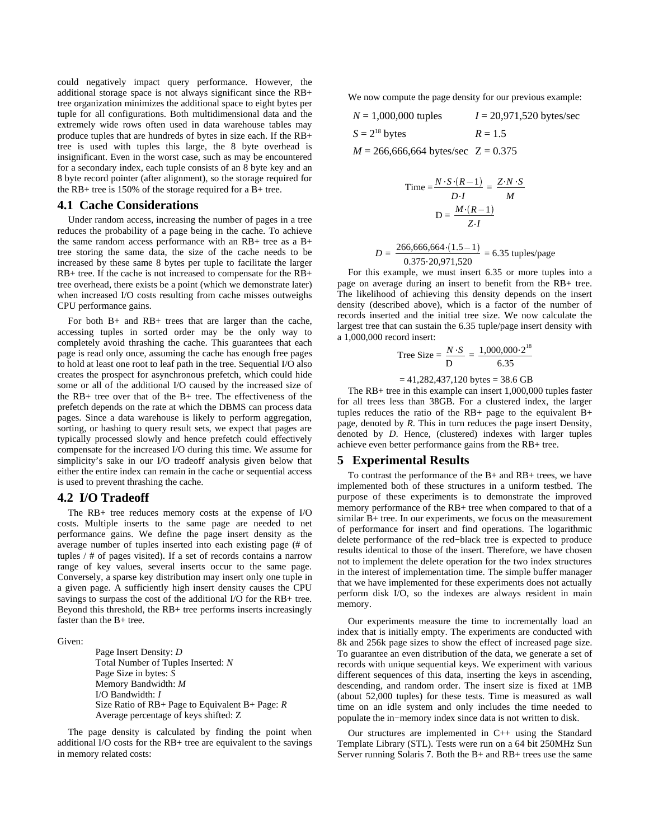could negatively impact query performance. However, the additional storage space is not always significant since the RB+ tree organization minimizes the additional space to eight bytes per tuple for all configurations. Both multidimensional data and the extremely wide rows often used in data warehouse tables may produce tuples that are hundreds of bytes in size each. If the RB+ tree is used with tuples this large, the 8 byte overhead is insignificant. Even in the worst case, such as may be encountered for a secondary index, each tuple consists of an 8 byte key and an 8 byte record pointer (after alignment), so the storage required for the RB+ tree is 150% of the storage required for a B+ tree.

#### **4.1 Cache Considerations**

Under random access, increasing the number of pages in a tree reduces the probability of a page being in the cache. To achieve the same random access performance with an RB+ tree as a B+ tree storing the same data, the size of the cache needs to be increased by these same 8 bytes per tuple to facilitate the larger RB+ tree. If the cache is not increased to compensate for the RB+ tree overhead, there exists be a point (which we demonstrate later) when increased I/O costs resulting from cache misses outweighs CPU performance gains.

For both B+ and RB+ trees that are larger than the cache, accessing tuples in sorted order may be the only way to completely avoid thrashing the cache. This guarantees that each page is read only once, assuming the cache has enough free pages to hold at least one root to leaf path in the tree. Sequential I/O also creates the prospect for asynchronous prefetch, which could hide some or all of the additional I/O caused by the increased size of the RB+ tree over that of the B+ tree. The effectiveness of the prefetch depends on the rate at which the DBMS can process data pages. Since a data warehouse is likely to perform aggregation, sorting, or hashing to query result sets, we expect that pages are typically processed slowly and hence prefetch could effectively compensate for the increased I/O during this time. We assume for simplicity's sake in our I/O tradeoff analysis given below that either the entire index can remain in the cache or sequential access is used to prevent thrashing the cache.

## **4.2 I/O Tradeoff**

The RB+ tree reduces memory costs at the expense of I/O costs. Multiple inserts to the same page are needed to net performance gains. We define the page insert density as the average number of tuples inserted into each existing page (# of tuples / # of pages visited). If a set of records contains a narrow range of key values, several inserts occur to the same page. Conversely, a sparse key distribution may insert only one tuple in a given page. A sufficiently high insert density causes the CPU savings to surpass the cost of the additional I/O for the RB+ tree. Beyond this threshold, the RB+ tree performs inserts increasingly faster than the B+ tree.

Given:

Page Insert Density: *D* Total Number of Tuples Inserted: *N* Page Size in bytes: *S* Memory Bandwidth: *M* I/O Bandwidth: *I* Size Ratio of RB+ Page to Equivalent B+ Page: *R* Average percentage of keys shifted: Z

The page density is calculated by finding the point when additional I/O costs for the RB+ tree are equivalent to the savings in memory related costs:

We now compute the page density for our previous example:

$$
N = 1,000,000
$$
 tuples  $I = 20,971,520$  bytes/sec  
\n $S = 2^{18}$  bytes  $R = 1.5$   
\n $M = 266,666,664$  bytes/sec  $Z = 0.375$ 

$$
Time = \frac{N \cdot S \cdot (R-1)}{D \cdot I} = \frac{Z \cdot N \cdot S}{M}
$$

$$
D = \frac{M \cdot (R-1)}{Z \cdot I}
$$

$$
D = \frac{266,666,664 \cdot (1.5 - 1)}{0.375 \cdot 20,971,520} = 6.35 \text{ tuples/page}
$$

For this example, we must insert 6.35 or more tuples into a page on average during an insert to benefit from the RB+ tree. The likelihood of achieving this density depends on the insert density (described above), which is a factor of the number of records inserted and the initial tree size. We now calculate the largest tree that can sustain the 6.35 tuple/page insert density with a 1,000,000 record insert:

Tree Size = 
$$
\frac{N \cdot S}{D}
$$
 =  $\frac{1,000,000 \cdot 2^{18}}{6.35}$ 

$$
=
$$
 41,282,437,120 bytes  $=$  38.6 GB

The RB+ tree in this example can insert 1,000,000 tuples faster for all trees less than 38GB. For a clustered index, the larger tuples reduces the ratio of the RB+ page to the equivalent B+ page, denoted by *R*. This in turn reduces the page insert Density, denoted by *D*. Hence, (clustered) indexes with larger tuples achieve even better performance gains from the RB+ tree.

#### **5 Experimental Results**

To contrast the performance of the B+ and RB+ trees, we have implemented both of these structures in a uniform testbed. The purpose of these experiments is to demonstrate the improved memory performance of the RB+ tree when compared to that of a similar B+ tree. In our experiments, we focus on the measurement of performance for insert and find operations. The logarithmic delete performance of the red−black tree is expected to produce results identical to those of the insert. Therefore, we have chosen not to implement the delete operation for the two index structures in the interest of implementation time. The simple buffer manager that we have implemented for these experiments does not actually perform disk I/O, so the indexes are always resident in main memory.

Our experiments measure the time to incrementally load an index that is initially empty. The experiments are conducted with 8k and 256k page sizes to show the effect of increased page size. To guarantee an even distribution of the data, we generate a set of records with unique sequential keys. We experiment with various different sequences of this data, inserting the keys in ascending, descending, and random order. The insert size is fixed at 1MB (about 52,000 tuples) for these tests. Time is measured as wall time on an idle system and only includes the time needed to populate the in−memory index since data is not written to disk.

Our structures are implemented in C++ using the Standard Template Library (STL). Tests were run on a 64 bit 250MHz Sun Server running Solaris 7. Both the B+ and RB+ trees use the same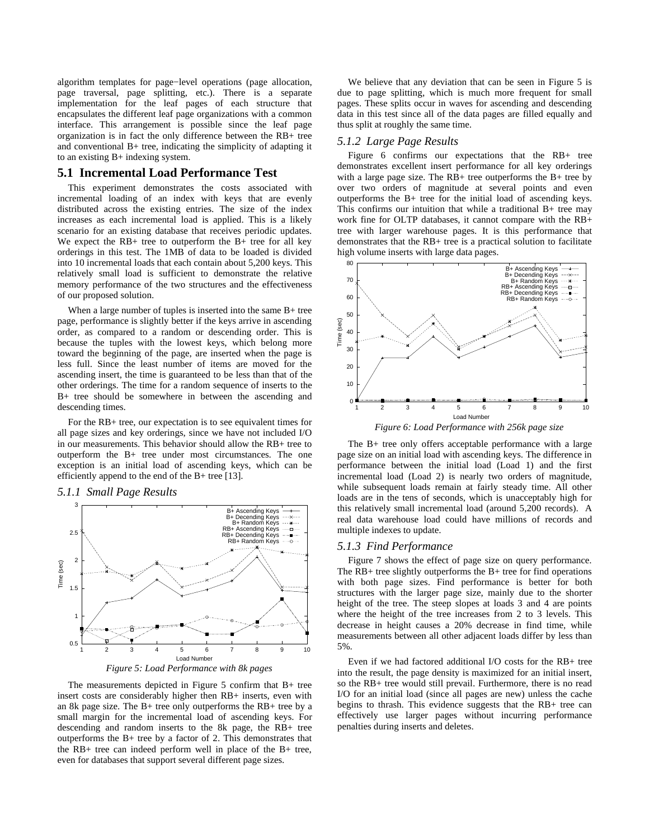algorithm templates for page−level operations (page allocation, page traversal, page splitting, etc.). There is a separate implementation for the leaf pages of each structure that encapsulates the different leaf page organizations with a common interface. This arrangement is possible since the leaf page organization is in fact the only difference between the RB+ tree and conventional B+ tree, indicating the simplicity of adapting it to an existing B+ indexing system.

## **5.1 Incremental Load Performance Test**

This experiment demonstrates the costs associated with incremental loading of an index with keys that are evenly distributed across the existing entries. The size of the index increases as each incremental load is applied. This is a likely scenario for an existing database that receives periodic updates. We expect the RB+ tree to outperform the B+ tree for all key orderings in this test. The 1MB of data to be loaded is divided into 10 incremental loads that each contain about 5,200 keys. This relatively small load is sufficient to demonstrate the relative memory performance of the two structures and the effectiveness of our proposed solution.

When a large number of tuples is inserted into the same B+ tree page, performance is slightly better if the keys arrive in ascending order, as compared to a random or descending order. This is because the tuples with the lowest keys, which belong more toward the beginning of the page, are inserted when the page is less full. Since the least number of items are moved for the ascending insert, the time is guaranteed to be less than that of the other orderings. The time for a random sequence of inserts to the B+ tree should be somewhere in between the ascending and descending times.

For the RB+ tree, our expectation is to see equivalent times for all page sizes and key orderings, since we have not included I/O in our measurements. This behavior should allow the RB+ tree to outperform the B+ tree under most circumstances. The one exception is an initial load of ascending keys, which can be efficiently append to the end of the B+ tree [13].

#### *5.1.1 Small Page Results*





The measurements depicted in Figure 5 confirm that B+ tree insert costs are considerably higher then RB+ inserts, even with an 8k page size. The B+ tree only outperforms the RB+ tree by a small margin for the incremental load of ascending keys. For descending and random inserts to the 8k page, the RB+ tree outperforms the B+ tree by a factor of 2. This demonstrates that the RB+ tree can indeed perform well in place of the B+ tree, even for databases that support several different page sizes.

We believe that any deviation that can be seen in Figure 5 is due to page splitting, which is much more frequent for small pages. These splits occur in waves for ascending and descending data in this test since all of the data pages are filled equally and thus split at roughly the same time.

#### *5.1.2 Large Page Results*

Figure 6 confirms our expectations that the RB+ tree demonstrates excellent insert performance for all key orderings with a large page size. The  $RB+$  tree outperforms the  $B+$  tree by over two orders of magnitude at several points and even outperforms the B+ tree for the initial load of ascending keys. This confirms our intuition that while a traditional B+ tree may work fine for OLTP databases, it cannot compare with the RB+ tree with larger warehouse pages. It is this performance that demonstrates that the RB+ tree is a practical solution to facilitate high volume inserts with large data pages.



*Figure 6: Load Performance with 256k page size*

The B+ tree only offers acceptable performance with a large page size on an initial load with ascending keys. The difference in performance between the initial load (Load 1) and the first incremental load (Load 2) is nearly two orders of magnitude, while subsequent loads remain at fairly steady time. All other loads are in the tens of seconds, which is unacceptably high for this relatively small incremental load (around 5,200 records). A real data warehouse load could have millions of records and multiple indexes to update.

## *5.1.3 Find Performance*

Figure 7 shows the effect of page size on query performance. The RB+ tree slightly outperforms the B+ tree for find operations with both page sizes. Find performance is better for both structures with the larger page size, mainly due to the shorter height of the tree. The steep slopes at loads 3 and 4 are points where the height of the tree increases from 2 to 3 levels. This decrease in height causes a 20% decrease in find time, while measurements between all other adjacent loads differ by less than 5%.

Even if we had factored additional I/O costs for the RB+ tree into the result, the page density is maximized for an initial insert, so the RB+ tree would still prevail. Furthermore, there is no read I/O for an initial load (since all pages are new) unless the cache begins to thrash. This evidence suggests that the RB+ tree can effectively use larger pages without incurring performance penalties during inserts and deletes.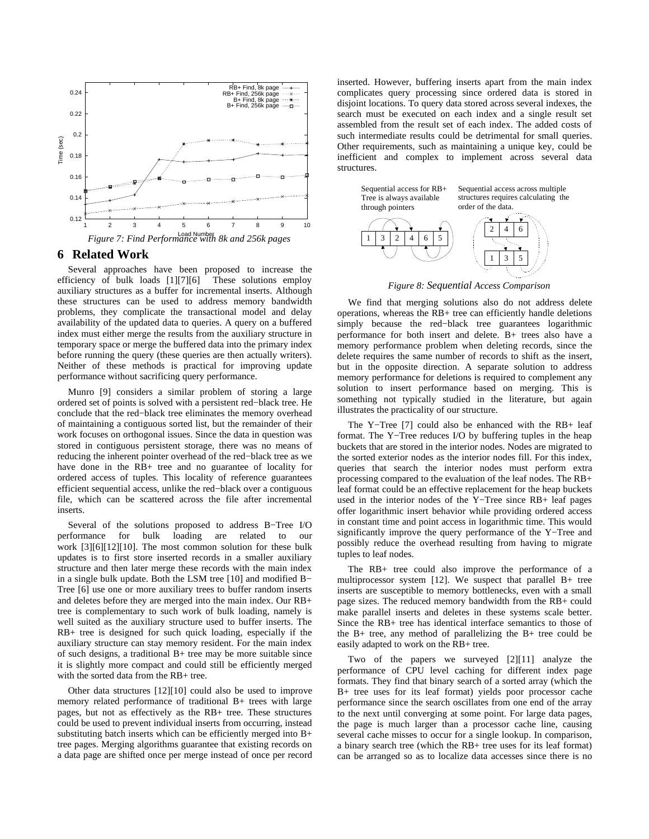



## **6 Related Work**

Several approaches have been proposed to increase the efficiency of bulk loads [1][7][6] These solutions employ auxiliary structures as a buffer for incremental inserts. Although these structures can be used to address memory bandwidth problems, they complicate the transactional model and delay availability of the updated data to queries. A query on a buffered index must either merge the results from the auxiliary structure in temporary space or merge the buffered data into the primary index before running the query (these queries are then actually writers). Neither of these methods is practical for improving update performance without sacrificing query performance.

Munro [9] considers a similar problem of storing a large ordered set of points is solved with a persistent red−black tree. He conclude that the red−black tree eliminates the memory overhead of maintaining a contiguous sorted list, but the remainder of their work focuses on orthogonal issues. Since the data in question was stored in contiguous persistent storage, there was no means of reducing the inherent pointer overhead of the red−black tree as we have done in the RB+ tree and no guarantee of locality for ordered access of tuples. This locality of reference guarantees efficient sequential access, unlike the red−black over a contiguous file, which can be scattered across the file after incremental inserts.

Several of the solutions proposed to address B−Tree I/O performance for bulk loading are related to our work [3][6][12][10]. The most common solution for these bulk updates is to first store inserted records in a smaller auxiliary structure and then later merge these records with the main index in a single bulk update. Both the LSM tree [10] and modified B− Tree [6] use one or more auxiliary trees to buffer random inserts and deletes before they are merged into the main index. Our RB+ tree is complementary to such work of bulk loading, namely is well suited as the auxiliary structure used to buffer inserts. The RB+ tree is designed for such quick loading, especially if the auxiliary structure can stay memory resident. For the main index of such designs, a traditional B+ tree may be more suitable since it is slightly more compact and could still be efficiently merged with the sorted data from the RB+ tree.

Other data structures [12][10] could also be used to improve memory related performance of traditional B+ trees with large pages, but not as effectively as the RB+ tree. These structures could be used to prevent individual inserts from occurring, instead substituting batch inserts which can be efficiently merged into B+ tree pages. Merging algorithms guarantee that existing records on a data page are shifted once per merge instead of once per record inserted. However, buffering inserts apart from the main index complicates query processing since ordered data is stored in disjoint locations. To query data stored across several indexes, the search must be executed on each index and a single result set assembled from the result set of each index. The added costs of such intermediate results could be detrimental for small queries. Other requirements, such as maintaining a unique key, could be inefficient and complex to implement across several data structures.



*Figure 8: Sequential Access Comparison*

We find that merging solutions also do not address delete operations, whereas the RB+ tree can efficiently handle deletions simply because the red−black tree guarantees logarithmic performance for both insert and delete. B+ trees also have a memory performance problem when deleting records, since the delete requires the same number of records to shift as the insert, but in the opposite direction. A separate solution to address memory performance for deletions is required to complement any solution to insert performance based on merging. This is something not typically studied in the literature, but again illustrates the practicality of our structure.

The Y−Tree [7] could also be enhanced with the RB+ leaf format. The Y−Tree reduces I/O by buffering tuples in the heap buckets that are stored in the interior nodes. Nodes are migrated to the sorted exterior nodes as the interior nodes fill. For this index, queries that search the interior nodes must perform extra processing compared to the evaluation of the leaf nodes. The RB+ leaf format could be an effective replacement for the heap buckets used in the interior nodes of the Y−Tree since RB+ leaf pages offer logarithmic insert behavior while providing ordered access in constant time and point access in logarithmic time. This would significantly improve the query performance of the Y−Tree and possibly reduce the overhead resulting from having to migrate tuples to leaf nodes.

The RB+ tree could also improve the performance of a multiprocessor system [12]. We suspect that parallel B+ tree inserts are susceptible to memory bottlenecks, even with a small page sizes. The reduced memory bandwidth from the RB+ could make parallel inserts and deletes in these systems scale better. Since the RB+ tree has identical interface semantics to those of the B+ tree, any method of parallelizing the B+ tree could be easily adapted to work on the RB+ tree.

Two of the papers we surveyed [2][11] analyze the performance of CPU level caching for different index page formats. They find that binary search of a sorted array (which the B+ tree uses for its leaf format) yields poor processor cache performance since the search oscillates from one end of the array to the next until converging at some point. For large data pages, the page is much larger than a processor cache line, causing several cache misses to occur for a single lookup. In comparison, a binary search tree (which the RB+ tree uses for its leaf format) can be arranged so as to localize data accesses since there is no